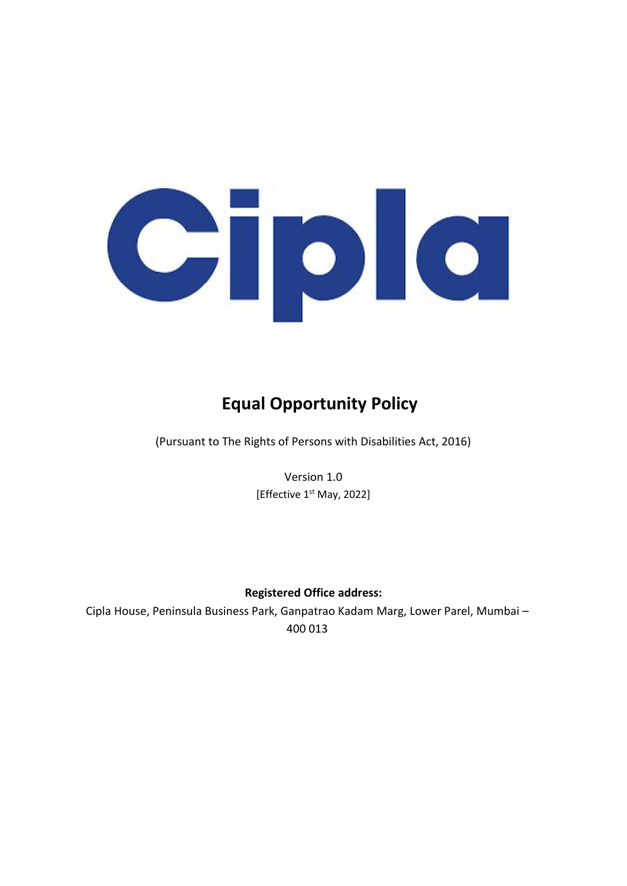

# **Equal Opportunity Policy**

(Pursuant to The Rights of Persons with Disabilities Act, 2016)

Version 1.0 [Effective 1<sup>st</sup> May, 2022]

# **Registered Office address:**

Cipla House, Peninsula Business Park, Ganpatrao Kadam Marg, Lower Parel, Mumbai – 400 013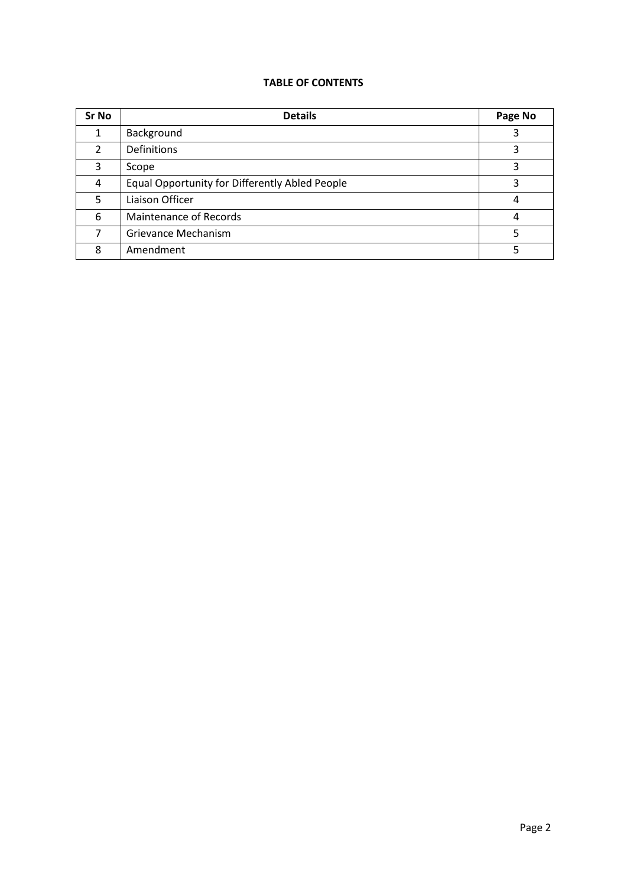## **TABLE OF CONTENTS**

| Sr No         | <b>Details</b>                                 | Page No |
|---------------|------------------------------------------------|---------|
|               | Background                                     |         |
| $\mathcal{P}$ | Definitions                                    |         |
| 3             | Scope                                          |         |
| 4             | Equal Opportunity for Differently Abled People |         |
| 5             | Liaison Officer                                | 4       |
| 6             | Maintenance of Records                         | 4       |
|               | Grievance Mechanism                            |         |
| 8             | Amendment                                      |         |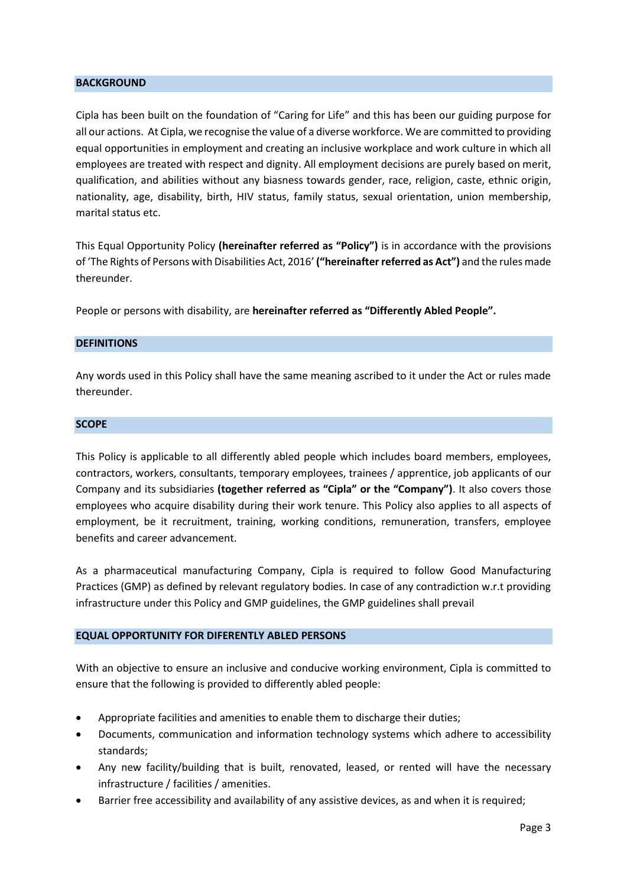#### **BACKGROUND**

Cipla has been built on the foundation of "Caring for Life" and this has been our guiding purpose for all our actions. At Cipla, we recognise the value of a diverse workforce. We are committed to providing equal opportunities in employment and creating an inclusive workplace and work culture in which all employees are treated with respect and dignity. All employment decisions are purely based on merit, qualification, and abilities without any biasness towards gender, race, religion, caste, ethnic origin, nationality, age, disability, birth, HIV status, family status, sexual orientation, union membership, marital status etc.

This Equal Opportunity Policy **(hereinafter referred as "Policy")** is in accordance with the provisions of 'The Rights of Persons with Disabilities Act, 2016' **("hereinafter referred as Act")** and the rules made thereunder.

People or persons with disability, are **hereinafter referred as "Differently Abled People".**

### **DEFINITIONS**

Any words used in this Policy shall have the same meaning ascribed to it under the Act or rules made thereunder.

#### **SCOPE**

This Policy is applicable to all differently abled people which includes board members, employees, contractors, workers, consultants, temporary employees, trainees / apprentice, job applicants of our Company and its subsidiaries **(together referred as "Cipla" or the "Company")**. It also covers those employees who acquire disability during their work tenure. This Policy also applies to all aspects of employment, be it recruitment, training, working conditions, remuneration, transfers, employee benefits and career advancement.

As a pharmaceutical manufacturing Company, Cipla is required to follow Good Manufacturing Practices (GMP) as defined by relevant regulatory bodies. In case of any contradiction w.r.t providing infrastructure under this Policy and GMP guidelines, the GMP guidelines shall prevail

### **EQUAL OPPORTUNITY FOR DIFERENTLY ABLED PERSONS**

With an objective to ensure an inclusive and conducive working environment, Cipla is committed to ensure that the following is provided to differently abled people:

- Appropriate facilities and amenities to enable them to discharge their duties;
- Documents, communication and information technology systems which adhere to accessibility standards;
- Any new facility/building that is built, renovated, leased, or rented will have the necessary infrastructure / facilities / amenities.
- Barrier free accessibility and availability of any assistive devices, as and when it is required;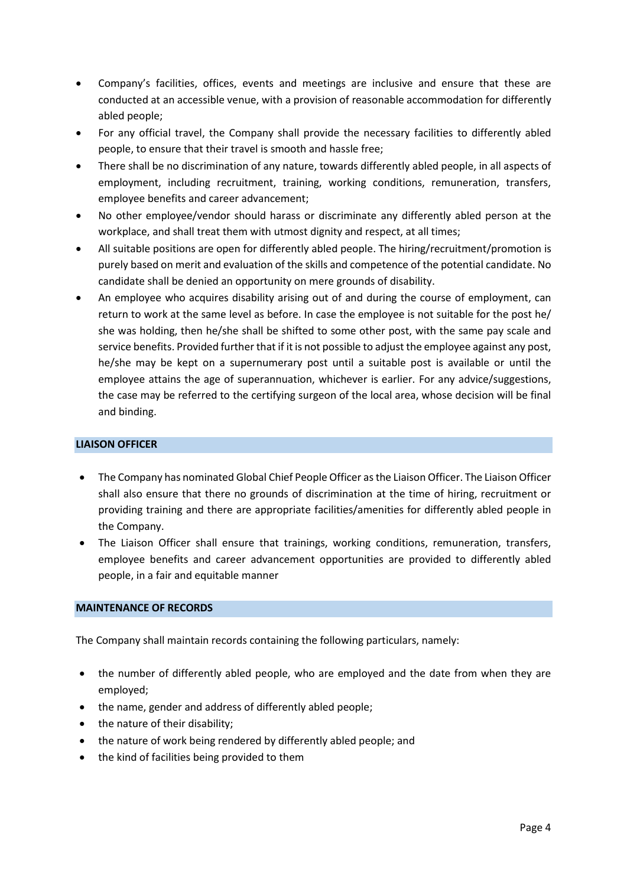- Company's facilities, offices, events and meetings are inclusive and ensure that these are conducted at an accessible venue, with a provision of reasonable accommodation for differently abled people;
- For any official travel, the Company shall provide the necessary facilities to differently abled people, to ensure that their travel is smooth and hassle free;
- There shall be no discrimination of any nature, towards differently abled people, in all aspects of employment, including recruitment, training, working conditions, remuneration, transfers, employee benefits and career advancement;
- No other employee/vendor should harass or discriminate any differently abled person at the workplace, and shall treat them with utmost dignity and respect, at all times;
- All suitable positions are open for differently abled people. The hiring/recruitment/promotion is purely based on merit and evaluation of the skills and competence of the potential candidate. No candidate shall be denied an opportunity on mere grounds of disability.
- An employee who acquires disability arising out of and during the course of employment, can return to work at the same level as before. In case the employee is not suitable for the post he/ she was holding, then he/she shall be shifted to some other post, with the same pay scale and service benefits. Provided further that if it is not possible to adjust the employee against any post, he/she may be kept on a supernumerary post until a suitable post is available or until the employee attains the age of superannuation, whichever is earlier. For any advice/suggestions, the case may be referred to the certifying surgeon of the local area, whose decision will be final and binding.

# **LIAISON OFFICER**

- The Company has nominated Global Chief People Officer as the Liaison Officer. The Liaison Officer shall also ensure that there no grounds of discrimination at the time of hiring, recruitment or providing training and there are appropriate facilities/amenities for differently abled people in the Company.
- The Liaison Officer shall ensure that trainings, working conditions, remuneration, transfers, employee benefits and career advancement opportunities are provided to differently abled people, in a fair and equitable manner

### **MAINTENANCE OF RECORDS**

The Company shall maintain records containing the following particulars, namely:

- the number of differently abled people, who are employed and the date from when they are employed;
- the name, gender and address of differently abled people;
- the nature of their disability;
- the nature of work being rendered by differently abled people; and
- the kind of facilities being provided to them